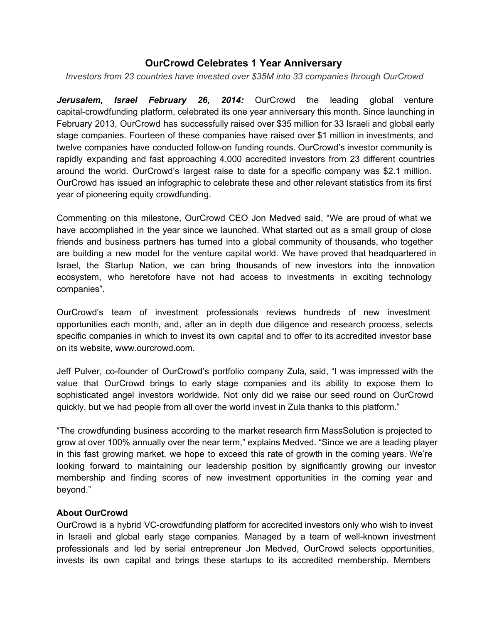## **OurCrowd Celebrates 1 Year Anniversary**

*Investors from 23 countries have invested over \$35M into 33 companies through OurCrowd*

*Jerusalem, Israel February 26, 2014:* OurCrowd the leading global venture capital-crowdfunding platform, celebrated its one year anniversary this month. Since launching in February 2013, OurCrowd has successfully raised over \$35 million for 33 Israeli and global early stage companies. Fourteen of these companies have raised over \$1 million in investments, and twelve companies have conducted follow-on funding rounds. OurCrowd's investor community is rapidly expanding and fast approaching 4,000 accredited investors from 23 different countries around the world. OurCrowd's largest raise to date for a specific company was \$2.1 million. OurCrowd has issued an infographic to celebrate these and other relevant statistics from its first year of pioneering equity crowdfunding.

Commenting on this milestone, OurCrowd CEO Jon Medved said, "We are proud of what we have accomplished in the year since we launched. What started out as a small group of close friends and business partners has turned into a global community of thousands, who together are building a new model for the venture capital world. We have proved that headquartered in Israel, the Startup Nation, we can bring thousands of new investors into the innovation ecosystem, who heretofore have not had access to investments in exciting technology companies".

OurCrowd's team of investment professionals reviews hundreds of new investment opportunities each month, and, after an in depth due diligence and research process, selects specific companies in which to invest its own capital and to offer to its accredited investor base on its website, www.ourcrowd.com.

Jeff Pulver, cofounder of OurCrowd's portfolio company Zula, said, "I was impressed with the value that OurCrowd brings to early stage companies and its ability to expose them to sophisticated angel investors worldwide. Not only did we raise our seed round on OurCrowd quickly, but we had people from all over the world invest in Zula thanks to this platform."

"The crowdfunding business according to the market research firm MassSolution is projected to grow at over 100% annually over the near term," explains Medved. "Since we are a leading player in this fast growing market, we hope to exceed this rate of growth in the coming years. We're looking forward to maintaining our leadership position by significantly growing our investor membership and finding scores of new investment opportunities in the coming year and beyond."

## **About OurCrowd**

OurCrowd is a hybrid VC-crowdfunding platform for accredited investors only who wish to invest in Israeli and global early stage companies. Managed by a team of well-known investment professionals and led by serial entrepreneur Jon Medved, OurCrowd selects opportunities, invests its own capital and brings these startups to its accredited membership. Members